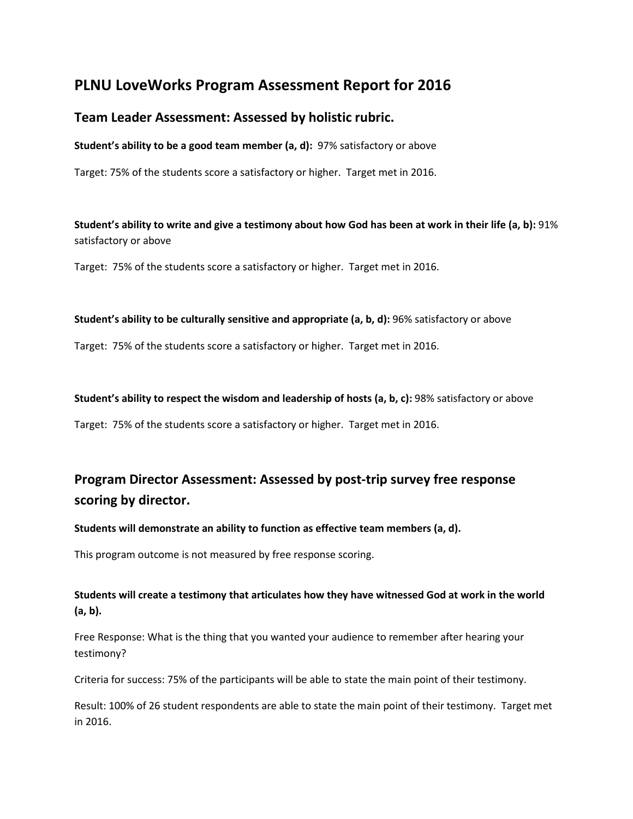# **PLNU LoveWorks Program Assessment Report for 2016**

# **Team Leader Assessment: Assessed by holistic rubric.**

**Student's ability to be a good team member (a, d):** 97% satisfactory or above

Target: 75% of the students score a satisfactory or higher. Target met in 2016.

**Student's ability to write and give a testimony about how God has been at work in their life (a, b):** 91% satisfactory or above

Target: 75% of the students score a satisfactory or higher. Target met in 2016.

## **Student's ability to be culturally sensitive and appropriate (a, b, d):** 96% satisfactory or above

Target: 75% of the students score a satisfactory or higher. Target met in 2016.

**Student's ability to respect the wisdom and leadership of hosts (a, b, c):** 98% satisfactory or above

Target: 75% of the students score a satisfactory or higher. Target met in 2016.

# **Program Director Assessment: Assessed by post-trip survey free response scoring by director.**

## **Students will demonstrate an ability to function as effective team members (a, d).**

This program outcome is not measured by free response scoring.

## **Students will create a testimony that articulates how they have witnessed God at work in the world (a, b).**

Free Response: What is the thing that you wanted your audience to remember after hearing your testimony?

Criteria for success: 75% of the participants will be able to state the main point of their testimony.

Result: 100% of 26 student respondents are able to state the main point of their testimony. Target met in 2016.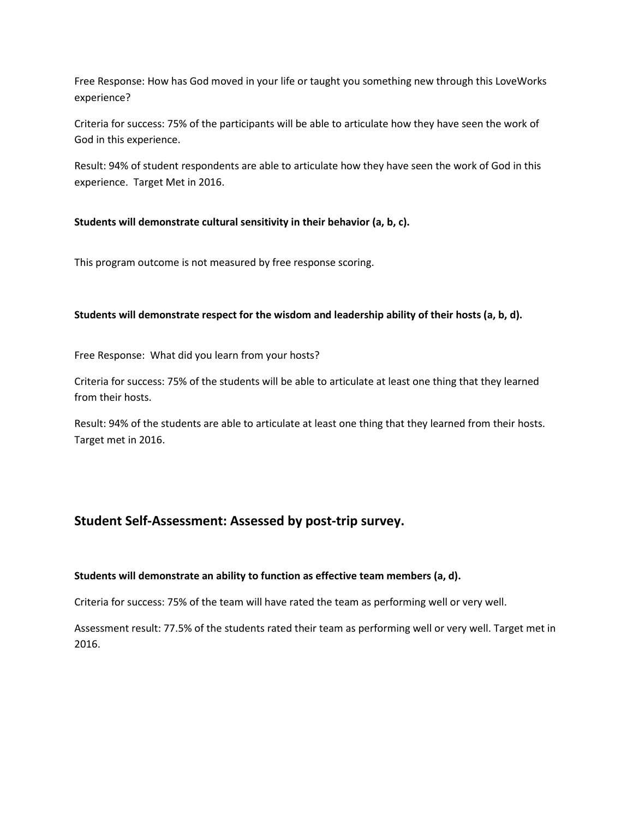Free Response: How has God moved in your life or taught you something new through this LoveWorks experience?

Criteria for success: 75% of the participants will be able to articulate how they have seen the work of God in this experience.

Result: 94% of student respondents are able to articulate how they have seen the work of God in this experience. Target Met in 2016.

## **Students will demonstrate cultural sensitivity in their behavior (a, b, c).**

This program outcome is not measured by free response scoring.

### **Students will demonstrate respect for the wisdom and leadership ability of their hosts (a, b, d).**

Free Response: What did you learn from your hosts?

Criteria for success: 75% of the students will be able to articulate at least one thing that they learned from their hosts.

Result: 94% of the students are able to articulate at least one thing that they learned from their hosts. Target met in 2016.

# **Student Self-Assessment: Assessed by post-trip survey.**

### **Students will demonstrate an ability to function as effective team members (a, d).**

Criteria for success: 75% of the team will have rated the team as performing well or very well.

Assessment result: 77.5% of the students rated their team as performing well or very well. Target met in 2016.